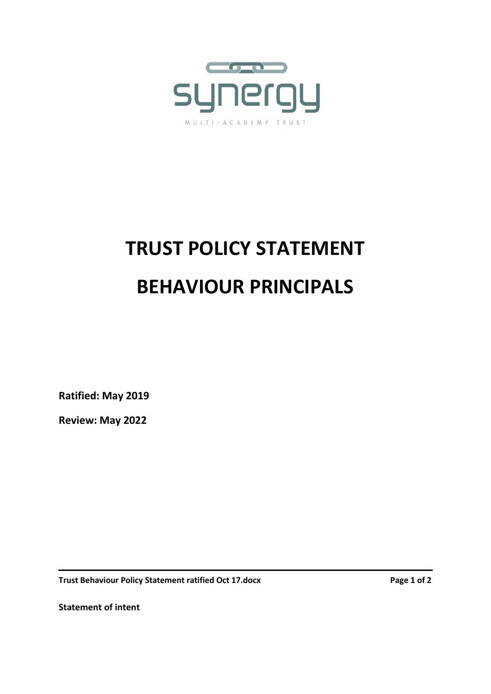

## **TRUST POLICY STATEMENT BEHAVIOUR PRINCIPALS**

**Ratified: May 2019**

**Review: May 2022**

**Trust Behaviour Policy Statement ratified Oct 17.docx Page 1 of 2 Page 1 of 2** 

**Statement of intent**